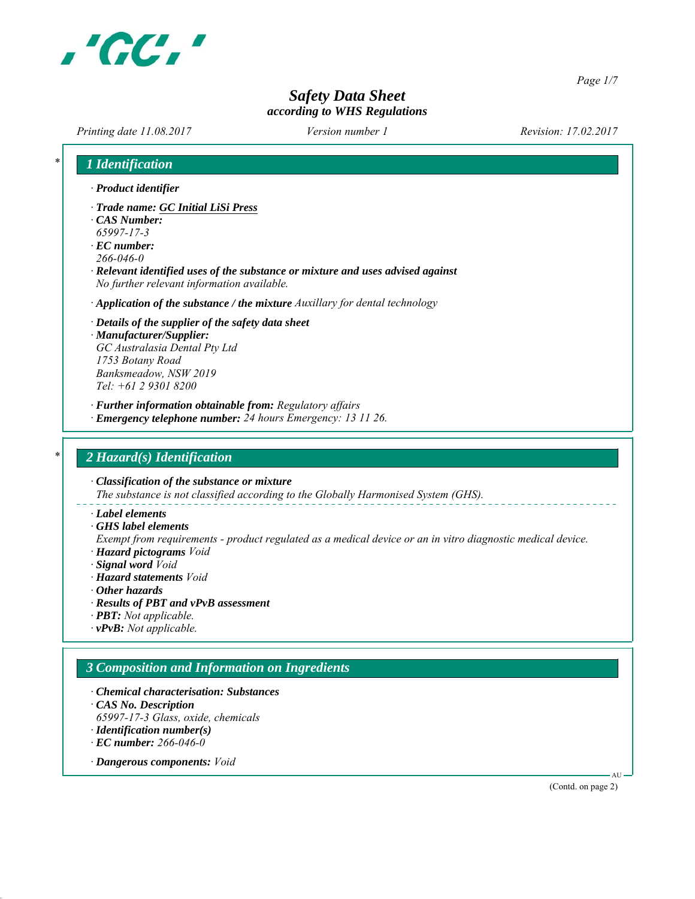

*Page 1/7*

# *Safety Data Sheet according to WHS Regulations*

*Printing date 11.08.2017 Revision: 17.02.2017 Version number 1*

| 1 Identification                                                                                                                                                                                                                                                    |
|---------------------------------------------------------------------------------------------------------------------------------------------------------------------------------------------------------------------------------------------------------------------|
| · Product identifier                                                                                                                                                                                                                                                |
| · Trade name: GC Initial LiSi Press<br>$\cdot$ CAS Number:<br>65997-17-3<br>$\cdot$ EC number:<br>$266 - 046 - 0$<br>· Relevant identified uses of the substance or mixture and uses advised against<br>No further relevant information available.                  |
| $\cdot$ Application of the substance / the mixture Auxillary for dental technology                                                                                                                                                                                  |
| $\cdot$ Details of the supplier of the safety data sheet<br>· Manufacturer/Supplier:<br>GC Australasia Dental Pty Ltd<br>1753 Botany Road<br>Banksmeadow, NSW 2019<br>Tel: +61 2 9301 8200                                                                          |
| · Further information obtainable from: Regulatory affairs<br>· Emergency telephone number: 24 hours Emergency: 13 11 26.                                                                                                                                            |
|                                                                                                                                                                                                                                                                     |
| 2 Hazard(s) Identification                                                                                                                                                                                                                                          |
| $\cdot$ Classification of the substance or mixture<br>The substance is not classified according to the Globally Harmonised System (GHS).                                                                                                                            |
| · Label elements<br>$\cdot$ GHS label elements<br>Exempt from requirements - product regulated as a medical device or an in vitro diagnostic medical device.<br>· Hazard pictograms Void<br>· Signal word Void<br>· Hazard statements Void<br>$\cdot$ Other hazards |
| · Results of PBT and vPvB assessment<br>$\cdot$ <b>PBT</b> : Not applicable.                                                                                                                                                                                        |
| $\cdot$ vPvB: Not applicable.                                                                                                                                                                                                                                       |
| 3 Composition and Information on Ingredients                                                                                                                                                                                                                        |
| • Chemical characterisation: Substances<br>CAS No. Description<br>65997-17-3 Glass, oxide, chemicals                                                                                                                                                                |
| $\cdot$ Identification number(s)<br>$\cdot$ EC number: 266-046-0                                                                                                                                                                                                    |
| · Dangerous components: Void                                                                                                                                                                                                                                        |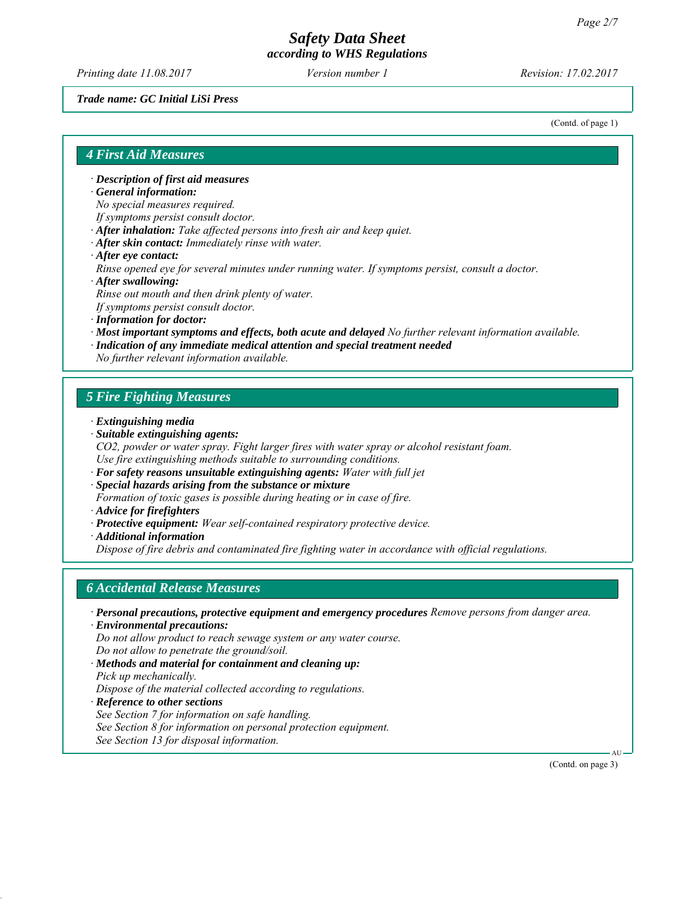*Printing date 11.08.2017 Revision: 17.02.2017 Version number 1*

*Trade name: GC Initial LiSi Press*

(Contd. of page 1)

#### *4 First Aid Measures*

*∙ Description of first aid measures*

*∙ General information:*

*No special measures required.*

- *If symptoms persist consult doctor.*
- *∙ After inhalation: Take affected persons into fresh air and keep quiet.*
- *∙ After skin contact: Immediately rinse with water.*
- *∙ After eye contact:*

*Rinse opened eye for several minutes under running water. If symptoms persist, consult a doctor.*

*∙ After swallowing:*

*Rinse out mouth and then drink plenty of water.*

*If symptoms persist consult doctor.*

- *∙ Information for doctor:*
- *∙ Most important symptoms and effects, both acute and delayed No further relevant information available.*
- *∙ Indication of any immediate medical attention and special treatment needed*

*No further relevant information available.*

## *5 Fire Fighting Measures*

- *∙ Extinguishing media*
- *∙ Suitable extinguishing agents:*
- *CO2, powder or water spray. Fight larger fires with water spray or alcohol resistant foam. Use fire extinguishing methods suitable to surrounding conditions.*
- *∙ For safety reasons unsuitable extinguishing agents: Water with full jet*
- *∙ Special hazards arising from the substance or mixture Formation of toxic gases is possible during heating or in case of fire.*
- *∙ Advice for firefighters*
- *∙ Protective equipment: Wear self-contained respiratory protective device.*
- *∙ Additional information*

*Dispose of fire debris and contaminated fire fighting water in accordance with official regulations.*

### *6 Accidental Release Measures*

*∙ Personal precautions, protective equipment and emergency procedures Remove persons from danger area.*

*∙ Environmental precautions:*

*Do not allow product to reach sewage system or any water course.*

*Do not allow to penetrate the ground/soil.*

- *∙ Methods and material for containment and cleaning up:*
- *Pick up mechanically.*

*Dispose of the material collected according to regulations.*

*∙ Reference to other sections*

*See Section 7 for information on safe handling.*

*See Section 8 for information on personal protection equipment.*

*See Section 13 for disposal information.*

(Contd. on page 3)

AU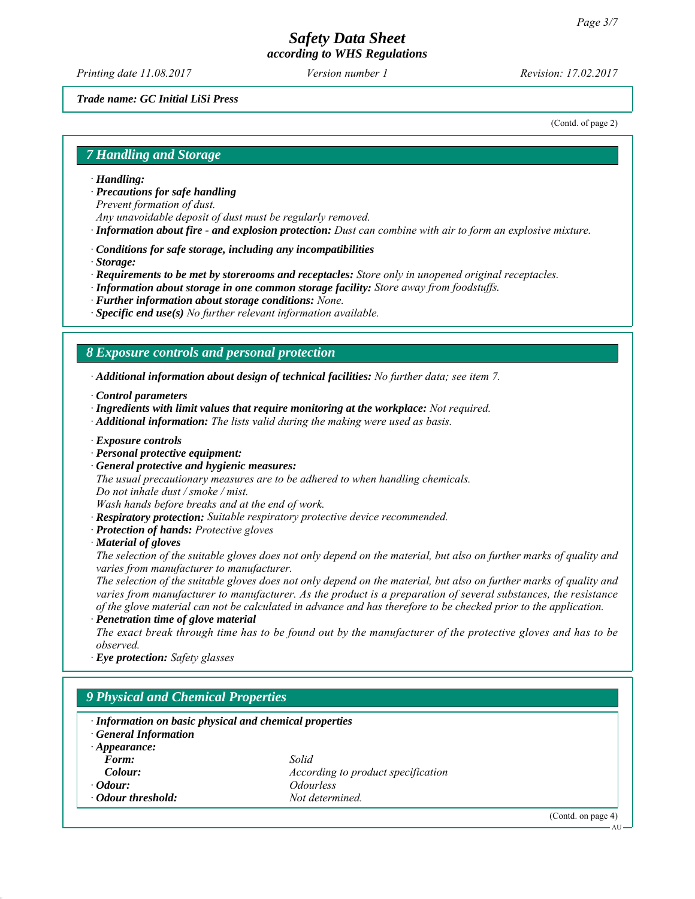*Printing date 11.08.2017 Revision: 17.02.2017 Version number 1*

#### *Trade name: GC Initial LiSi Press*

(Contd. of page 2)

## *7 Handling and Storage*

- *∙ Handling:*
- *∙ Precautions for safe handling*

*Prevent formation of dust.*

- *Any unavoidable deposit of dust must be regularly removed.*
- *∙ Information about fire and explosion protection: Dust can combine with air to form an explosive mixture.*
- *∙ Conditions for safe storage, including any incompatibilities*
- *∙ Storage:*
- *∙ Requirements to be met by storerooms and receptacles: Store only in unopened original receptacles.*
- *∙ Information about storage in one common storage facility: Store away from foodstuffs.*
- *∙ Further information about storage conditions: None.*
- *∙ Specific end use(s) No further relevant information available.*

#### *8 Exposure controls and personal protection*

*∙ Additional information about design of technical facilities: No further data; see item 7.*

- *∙ Control parameters*
- *∙ Ingredients with limit values that require monitoring at the workplace: Not required.*
- *∙ Additional information: The lists valid during the making were used as basis.*
- *∙ Exposure controls*
- *∙ Personal protective equipment:*
- *∙ General protective and hygienic measures:*

*The usual precautionary measures are to be adhered to when handling chemicals.*

*Do not inhale dust / smoke / mist.*

*Wash hands before breaks and at the end of work.*

- *∙ Respiratory protection: Suitable respiratory protective device recommended.*
- *∙ Protection of hands: Protective gloves*
- *∙ Material of gloves*

*The selection of the suitable gloves does not only depend on the material, but also on further marks of quality and varies from manufacturer to manufacturer.*

*The selection of the suitable gloves does not only depend on the material, but also on further marks of quality and varies from manufacturer to manufacturer. As the product is a preparation of several substances, the resistance of the glove material can not be calculated in advance and has therefore to be checked prior to the application.*

*∙ Penetration time of glove material*

*The exact break through time has to be found out by the manufacturer of the protective gloves and has to be observed.*

*∙ Eye protection: Safety glasses*

# *9 Physical and Chemical Properties*

| · Information on basic physical and chemical properties<br><b>General Information</b> |                                           |  |
|---------------------------------------------------------------------------------------|-------------------------------------------|--|
| $\cdot$ Appearance:                                                                   |                                           |  |
| Form:                                                                                 | Solid                                     |  |
| Colour:                                                                               | <i>According to product specification</i> |  |
| $\cdot$ Odour:                                                                        | <i><u><b>Odourless</b></u></i>            |  |
| • Odour threshold:                                                                    | Not determined.                           |  |
|                                                                                       |                                           |  |

(Contd. on page 4)

AU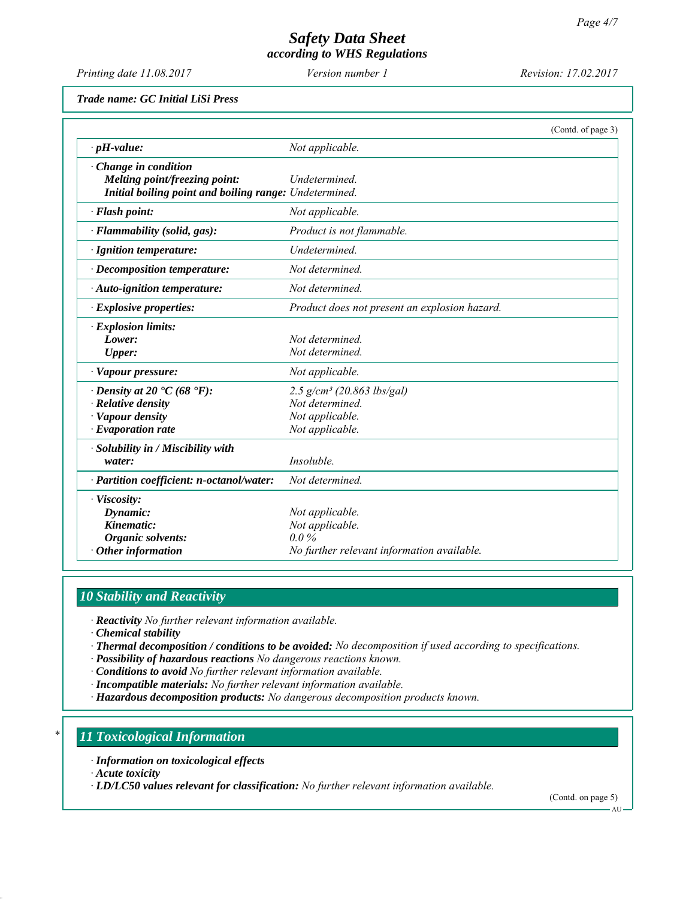*Printing date 11.08.2017 Revision: 17.02.2017 Version number 1*

*Trade name: GC Initial LiSi Press*

|                                                                                                                             | (Contd. of page 3)                                                                                |
|-----------------------------------------------------------------------------------------------------------------------------|---------------------------------------------------------------------------------------------------|
| $\cdot$ pH-value:                                                                                                           | Not applicable.                                                                                   |
| $\cdot$ Change in condition<br>Melting point/freezing point:<br>Initial boiling point and boiling range: Undetermined.      | Undetermined.                                                                                     |
| · Flash point:                                                                                                              | Not applicable.                                                                                   |
| $\cdot$ Flammability (solid, gas):                                                                                          | Product is not flammable.                                                                         |
| · Ignition temperature:                                                                                                     | Undetermined.                                                                                     |
| $\cdot$ Decomposition temperature:                                                                                          | Not determined.                                                                                   |
| · Auto-ignition temperature:                                                                                                | Not determined.                                                                                   |
| $\cdot$ Explosive properties:                                                                                               | Product does not present an explosion hazard.                                                     |
| $\cdot$ Explosion limits:<br>Lower:<br><b>Upper:</b>                                                                        | Not determined.<br>Not determined.                                                                |
| · Vapour pressure:                                                                                                          | Not applicable.                                                                                   |
| $\cdot$ Density at 20 $\cdot$ C (68 $\cdot$ F):<br>$\cdot$ Relative density<br>· Vapour density<br>$\cdot$ Evaporation rate | $2.5$ g/cm <sup>3</sup> (20.863 lbs/gal)<br>Not determined.<br>Not applicable.<br>Not applicable. |
| · Solubility in / Miscibility with<br>water:                                                                                | Insoluble.                                                                                        |
| · Partition coefficient: n-octanol/water:                                                                                   | Not determined.                                                                                   |
| · Viscosity:<br>Dynamic:<br>Kinematic:<br>Organic solvents:<br>$\cdot$ Other information                                    | Not applicable.<br>Not applicable.<br>$0.0\%$<br>No further relevant information available.       |

# *10 Stability and Reactivity*

*∙ Reactivity No further relevant information available.*

*∙ Chemical stability*

*∙ Thermal decomposition / conditions to be avoided: No decomposition if used according to specifications.*

*∙ Possibility of hazardous reactions No dangerous reactions known.*

*∙ Conditions to avoid No further relevant information available.*

*∙ Incompatible materials: No further relevant information available.*

*∙ Hazardous decomposition products: No dangerous decomposition products known.*

### *\* 11 Toxicological Information*

*∙ Information on toxicological effects*

*∙ Acute toxicity*

*∙ LD/LC50 values relevant for classification: No further relevant information available.*

(Contd. on page 5)

AU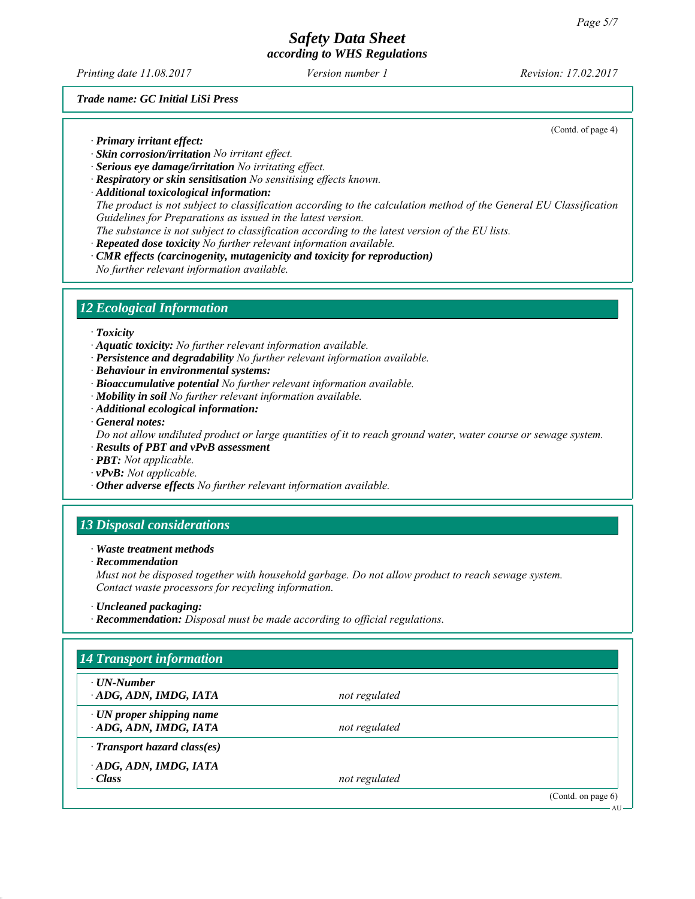*Printing date 11.08.2017 Revision: 17.02.2017 Version number 1*

(Contd. of page 4)

*Trade name: GC Initial LiSi Press*

*∙ Primary irritant effect:*

- *∙ Skin corrosion/irritation No irritant effect.*
- *∙ Serious eye damage/irritation No irritating effect.*
- *∙ Respiratory or skin sensitisation No sensitising effects known.*
- *∙ Additional toxicological information: The product is not subject to classification according to the calculation method of the General EU Classification Guidelines for Preparations as issued in the latest version. The substance is not subject to classification according to the latest version of the EU lists.*
- *∙ Repeated dose toxicity No further relevant information available.*
- *∙ CMR effects (carcinogenity, mutagenicity and toxicity for reproduction) No further relevant information available.*

## *12 Ecological Information*

*∙ Toxicity*

*∙ Aquatic toxicity: No further relevant information available.*

- *∙ Persistence and degradability No further relevant information available.*
- *∙ Behaviour in environmental systems:*
- *∙ Bioaccumulative potential No further relevant information available.*
- *∙ Mobility in soil No further relevant information available.*
- *∙ Additional ecological information:*

*∙ General notes:*

*Do not allow undiluted product or large quantities of it to reach ground water, water course or sewage system.*

- *∙ Results of PBT and vPvB assessment*
- *∙ PBT: Not applicable.*
- *∙ vPvB: Not applicable.*
- *∙ Other adverse effects No further relevant information available.*

# *13 Disposal considerations*

*∙ Waste treatment methods*

*∙ Recommendation*

*Must not be disposed together with household garbage. Do not allow product to reach sewage system. Contact waste processors for recycling information.*

*∙ Recommendation: Disposal must be made according to official regulations.*

| $\cdot$ UN-Number                                       |               |  |
|---------------------------------------------------------|---------------|--|
| ADG, ADN, IMDG, IATA                                    | not regulated |  |
| $\cdot$ UN proper shipping name<br>ADG, ADN, IMDG, IATA | not regulated |  |
| $\cdot$ Transport hazard class(es)                      |               |  |
| ADG, ADN, IMDG, IATA<br>$\cdot$ Class                   | not regulated |  |

*<sup>∙</sup> Uncleaned packaging:*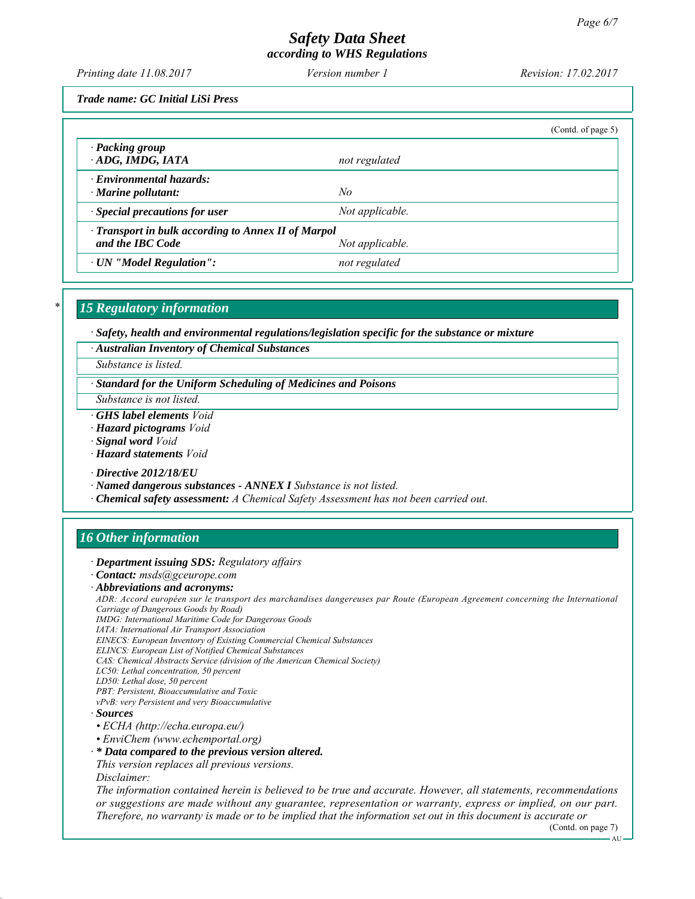*Printing date 11.08.2017 Revision: 17.02.2017 Version number 1*

*Trade name: GC Initial LiSi Press*

|                                                                                            |                 | (Contd. of page 5) |  |  |
|--------------------------------------------------------------------------------------------|-----------------|--------------------|--|--|
| · Packing group<br>ADG, IMDG, IATA                                                         | not regulated   |                    |  |  |
| $\cdot$ Environmental hazards:<br>$\cdot$ Marine pollutant:                                | No              |                    |  |  |
| $\cdot$ Special precautions for user                                                       | Not applicable. |                    |  |  |
| · Transport in bulk according to Annex II of Marpol<br>and the IBC Code<br>Not applicable. |                 |                    |  |  |
| · UN "Model Regulation":                                                                   | not regulated   |                    |  |  |

# *\* 15 Regulatory information*

*∙ Safety, health and environmental regulations/legislation specific for the substance or mixture*

*∙ Australian Inventory of Chemical Substances*

*Substance is listed.*

*∙ Standard for the Uniform Scheduling of Medicines and Poisons*

*Substance is not listed.*

- *∙ GHS label elements Void*
- *∙ Hazard pictograms Void*
- *∙ Signal word Void*
- *∙ Hazard statements Void*

*∙ Directive 2012/18/EU*

- *∙ Named dangerous substances ANNEX I Substance is not listed.*
- *∙ Chemical safety assessment: A Chemical Safety Assessment has not been carried out.*

# *16 Other information*

*∙ Department issuing SDS: Regulatory affairs*

*∙ Contact: msds@gceurope.com*

*∙ Abbreviations and acronyms:*

*ADR: Accord européen sur le transport des marchandises dangereuses par Route (European Agreement concerning the International Carriage of Dangerous Goods by Road)*

*IMDG: International Maritime Code for Dangerous Goods*

*IATA: International Air Transport Association*

*EINECS: European Inventory of Existing Commercial Chemical Substances*

- *ELINCS: European List of Notified Chemical Substances*
- *CAS: Chemical Abstracts Service (division of the American Chemical Society)*
- *LC50: Lethal concentration, 50 percent*
- *LD50: Lethal dose, 50 percent*

*PBT: Persistent, Bioaccumulative and Toxic vPvB: very Persistent and very Bioaccumulative*

- *∙ Sources*
- *ECHA (http://echa.europa.eu/)*
- *EnviChem (www.echemportal.org)*
- *∙ \* Data compared to the previous version altered.*

*This version replaces all previous versions. Disclaimer:*

*The information contained herein is believed to be true and accurate. However, all statements, recommendations or suggestions are made without any guarantee, representation or warranty, express or implied, on our part. Therefore, no warranty is made or to be implied that the information set out in this document is accurate or*

(Contd. on page 7)

AU